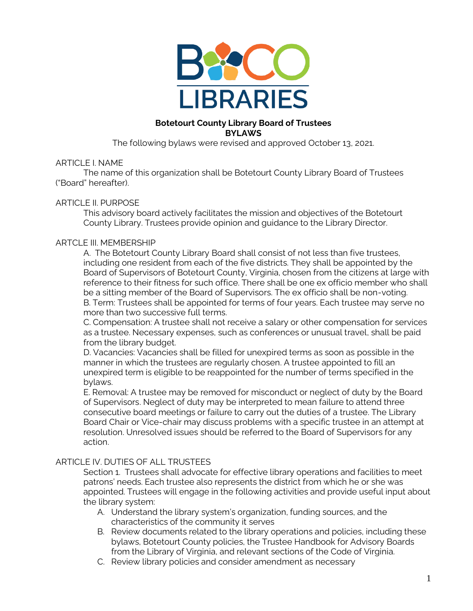

### **Botetourt County Library Board of Trustees BYLAWS**

The following bylaws were revised and approved October 13, 2021.

### ARTICLE I. NAME

The name of this organization shall be Botetourt County Library Board of Trustees ("Board" hereafter).

### ARTICLE II. PURPOSE

This advisory board actively facilitates the mission and objectives of the Botetourt County Library. Trustees provide opinion and guidance to the Library Director.

#### ARTCLE III. MEMBERSHIP

A. The Botetourt County Library Board shall consist of not less than five trustees, including one resident from each of the five districts. They shall be appointed by the Board of Supervisors of Botetourt County, Virginia, chosen from the citizens at large with reference to their fitness for such office. There shall be one ex officio member who shall be a sitting member of the Board of Supervisors. The ex officio shall be non-voting. B. Term: Trustees shall be appointed for terms of four years. Each trustee may serve no more than two successive full terms.

C. Compensation: A trustee shall not receive a salary or other compensation for services as a trustee. Necessary expenses, such as conferences or unusual travel, shall be paid from the library budget.

D. Vacancies: Vacancies shall be filled for unexpired terms as soon as possible in the manner in which the trustees are regularly chosen. A trustee appointed to fill an unexpired term is eligible to be reappointed for the number of terms specified in the bylaws.

E. Removal: A trustee may be removed for misconduct or neglect of duty by the Board of Supervisors. Neglect of duty may be interpreted to mean failure to attend three consecutive board meetings or failure to carry out the duties of a trustee. The Library Board Chair or Vice-chair may discuss problems with a specific trustee in an attempt at resolution. Unresolved issues should be referred to the Board of Supervisors for any action.

## ARTICLE IV. DUTIES OF ALL TRUSTEES

Section 1. Trustees shall advocate for effective library operations and facilities to meet patrons' needs. Each trustee also represents the district from which he or she was appointed. Trustees will engage in the following activities and provide useful input about the library system:

- A. Understand the library system's organization, funding sources, and the characteristics of the community it serves
- B. Review documents related to the library operations and policies, including these bylaws, Botetourt County policies, the Trustee Handbook for Advisory Boards from the Library of Virginia, and relevant sections of the Code of Virginia.
- C. Review library policies and consider amendment as necessary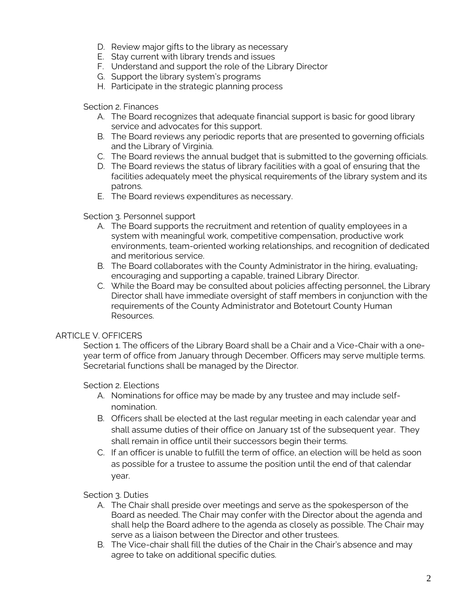- D. Review major gifts to the library as necessary
- E. Stay current with library trends and issues
- F. Understand and support the role of the Library Director
- G. Support the library system's programs
- H. Participate in the strategic planning process

Section 2. Finances

- A. The Board recognizes that adequate financial support is basic for good library service and advocates for this support.
- B. The Board reviews any periodic reports that are presented to governing officials and the Library of Virginia.
- C. The Board reviews the annual budget that is submitted to the governing officials.
- D. The Board reviews the status of library facilities with a goal of ensuring that the facilities adequately meet the physical requirements of the library system and its patrons.
- E. The Board reviews expenditures as necessary.

Section 3. Personnel support

- A. The Board supports the recruitment and retention of quality employees in a system with meaningful work, competitive compensation, productive work environments, team-oriented working relationships, and recognition of dedicated and meritorious service.
- B. The Board collaborates with the County Administrator in the hiring, evaluating, encouraging and supporting a capable, trained Library Director.
- C. While the Board may be consulted about policies affecting personnel, the Library Director shall have immediate oversight of staff members in conjunction with the requirements of the County Administrator and Botetourt County Human Resources.

## ARTICLE V. OFFICERS

Section 1. The officers of the Library Board shall be a Chair and a Vice-Chair with a oneyear term of office from January through December. Officers may serve multiple terms. Secretarial functions shall be managed by the Director.

## Section 2. Elections

- A. Nominations for office may be made by any trustee and may include selfnomination.
- B. Officers shall be elected at the last regular meeting in each calendar year and shall assume duties of their office on January 1st of the subsequent year. They shall remain in office until their successors begin their terms.
- C. If an officer is unable to fulfill the term of office, an election will be held as soon as possible for a trustee to assume the position until the end of that calendar year.

Section 3. Duties

- A. The Chair shall preside over meetings and serve as the spokesperson of the Board as needed. The Chair may confer with the Director about the agenda and shall help the Board adhere to the agenda as closely as possible. The Chair may serve as a liaison between the Director and other trustees.
- B. The Vice-chair shall fill the duties of the Chair in the Chair's absence and may agree to take on additional specific duties.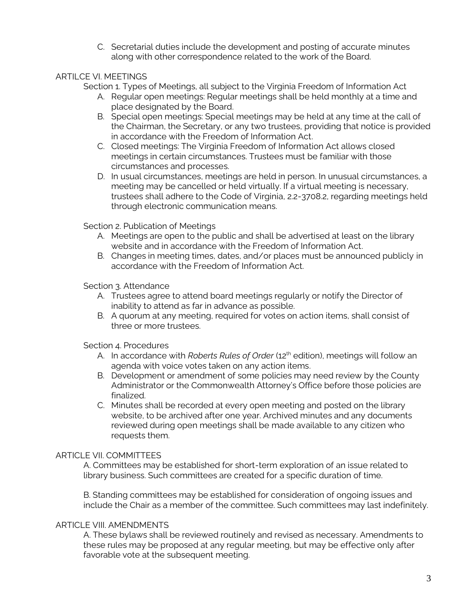C. Secretarial duties include the development and posting of accurate minutes along with other correspondence related to the work of the Board.

# ARTILCE VI. MEETINGS

Section 1. Types of Meetings, all subject to the Virginia Freedom of Information Act

- A. Regular open meetings: Regular meetings shall be held monthly at a time and place designated by the Board.
- B. Special open meetings: Special meetings may be held at any time at the call of the Chairman, the Secretary, or any two trustees, providing that notice is provided in accordance with the Freedom of Information Act.
- C. Closed meetings: The Virginia Freedom of Information Act allows closed meetings in certain circumstances. Trustees must be familiar with those circumstances and processes.
- D. In usual circumstances, meetings are held in person. In unusual circumstances, a meeting may be cancelled or held virtually. If a virtual meeting is necessary, trustees shall adhere to the Code of Virginia, 2.2-3708.2, regarding meetings held through electronic communication means.

Section 2. Publication of Meetings

- A. Meetings are open to the public and shall be advertised at least on the library website and in accordance with the Freedom of Information Act.
- B. Changes in meeting times, dates, and/or places must be announced publicly in accordance with the Freedom of Information Act.

Section 3. Attendance

- A. Trustees agree to attend board meetings regularly or notify the Director of inability to attend as far in advance as possible.
- B. A quorum at any meeting, required for votes on action items, shall consist of three or more trustees.

Section 4. Procedures

- A. In accordance with *Roberts Rules of Order* (12th edition), meetings will follow an agenda with voice votes taken on any action items.
- B. Development or amendment of some policies may need review by the County Administrator or the Commonwealth Attorney's Office before those policies are finalized.
- C. Minutes shall be recorded at every open meeting and posted on the library website, to be archived after one year. Archived minutes and any documents reviewed during open meetings shall be made available to any citizen who requests them.

## ARTICLE VII. COMMITTEES

A. Committees may be established for short-term exploration of an issue related to library business. Such committees are created for a specific duration of time.

B. Standing committees may be established for consideration of ongoing issues and include the Chair as a member of the committee. Such committees may last indefinitely.

#### ARTICLE VIII. AMENDMENTS

A. These bylaws shall be reviewed routinely and revised as necessary. Amendments to these rules may be proposed at any regular meeting, but may be effective only after favorable vote at the subsequent meeting.